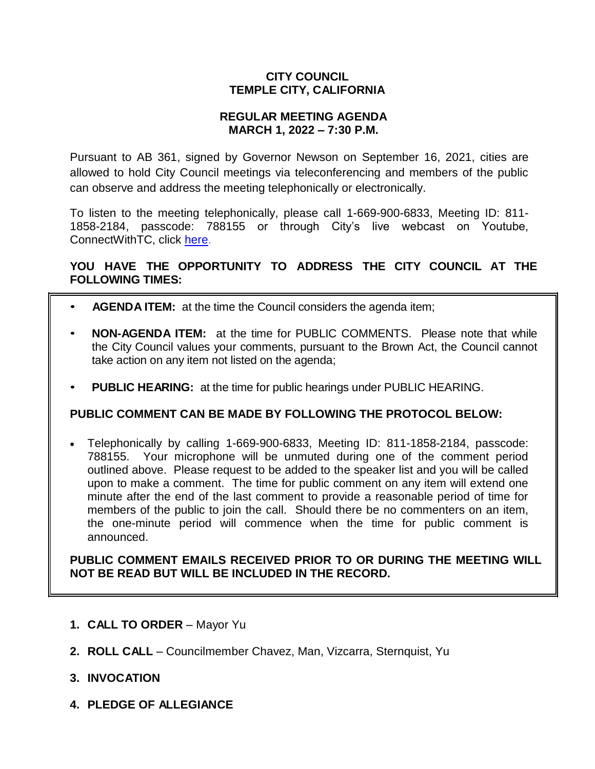## **CITY COUNCIL TEMPLE CITY, CALIFORNIA**

#### **REGULAR MEETING AGENDA MARCH 1, 2022 – 7:30 P.M.**

Pursuant to AB 361, signed by Governor Newson on September 16, 2021, cities are allowed to hold City Council meetings via teleconferencing and members of the public can observe and address the meeting telephonically or electronically.

To listen to the meeting telephonically, please call 1-669-900-6833, Meeting ID: 811- 1858-2184, passcode: 788155 or through City's live webcast on Youtube, ConnectWithTC, click [here.](https://www.ci.temple-city.ca.us/516/Meeting-Webcast)

# **YOU HAVE THE OPPORTUNITY TO ADDRESS THE CITY COUNCIL AT THE FOLLOWING TIMES:**

- **AGENDA ITEM:** at the time the Council considers the agenda item;
- **NON-AGENDA ITEM:** at the time for PUBLIC COMMENTS. Please note that while the City Council values your comments, pursuant to the Brown Act, the Council cannot take action on any item not listed on the agenda;
- **PUBLIC HEARING:** at the time for public hearings under PUBLIC HEARING.

#### **PUBLIC COMMENT CAN BE MADE BY FOLLOWING THE PROTOCOL BELOW:**

 Telephonically by calling 1-669-900-6833, Meeting ID: 811-1858-2184, passcode: 788155. Your microphone will be unmuted during one of the comment period outlined above. Please request to be added to the speaker list and you will be called upon to make a comment. The time for public comment on any item will extend one minute after the end of the last comment to provide a reasonable period of time for members of the public to join the call. Should there be no commenters on an item, the one-minute period will commence when the time for public comment is announced.

**PUBLIC COMMENT EMAILS RECEIVED PRIOR TO OR DURING THE MEETING WILL NOT BE READ BUT WILL BE INCLUDED IN THE RECORD.**

- **1. CALL TO ORDER**  Mayor Yu
- **2. ROLL CALL**  Councilmember Chavez, Man, Vizcarra, Sternquist, Yu
- **3. INVOCATION**
- **4. PLEDGE OF ALLEGIANCE**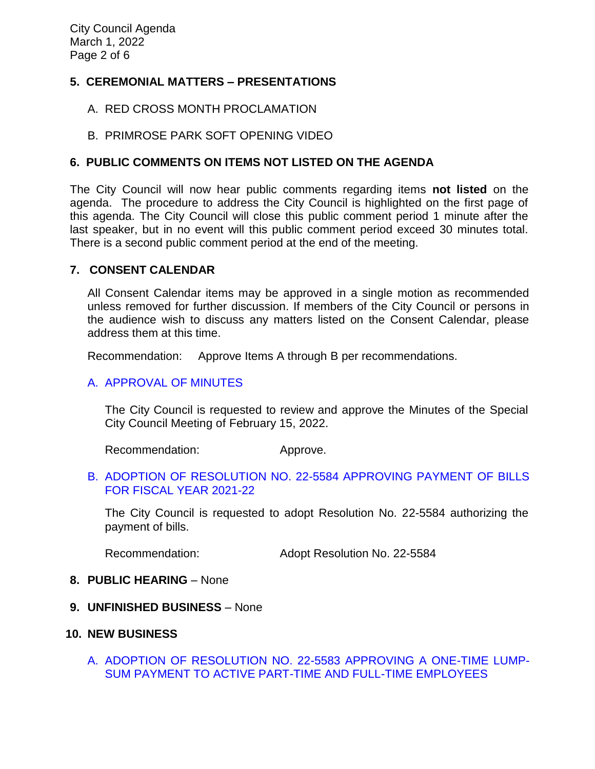# **5. CEREMONIAL MATTERS – PRESENTATIONS**

- A. RED CROSS MONTH PROCLAMATION
- B. PRIMROSE PARK SOFT OPENING VIDEO

## **6. PUBLIC COMMENTS ON ITEMS NOT LISTED ON THE AGENDA**

The City Council will now hear public comments regarding items **not listed** on the agenda. The procedure to address the City Council is highlighted on the first page of this agenda. The City Council will close this public comment period 1 minute after the last speaker, but in no event will this public comment period exceed 30 minutes total. There is a second public comment period at the end of the meeting.

#### **7. CONSENT CALENDAR**

All Consent Calendar items may be approved in a single motion as recommended unless removed for further discussion. If members of the City Council or persons in the audience wish to discuss any matters listed on the Consent Calendar, please address them at this time.

Recommendation: Approve Items A through B per recommendations.

## [A. APPROVAL OF MINUTES](https://www.ci.temple-city.ca.us/DocumentCenter/View/17530/02-7A_CCM---2022-02-15)

The City Council is requested to review and approve the Minutes of the Special City Council Meeting of February 15, 2022.

Recommendation: Approve.

#### B. [ADOPTION OF RESOLUTION NO. 22-5584](https://www.ci.temple-city.ca.us/DocumentCenter/View/17531/03-7B_CC-Warrant_Reso-No-22-5584_2022-03-01_with-attachments-v1) APPROVING PAYMENT OF BILLS [FOR FISCAL YEAR 2021-22](https://www.ci.temple-city.ca.us/DocumentCenter/View/17531/03-7B_CC-Warrant_Reso-No-22-5584_2022-03-01_with-attachments-v1)

The City Council is requested to adopt Resolution No. 22-5584 authorizing the payment of bills.

Recommendation: Adopt Resolution No. 22-5584

#### **8. PUBLIC HEARING** – None

**9. UNFINISHED BUSINESS** – None

#### **10. NEW BUSINESS**

A. [ADOPTION OF RESOLUTION NO. 22-5583 APPROVING A ONE-TIME LUMP-](https://www.ci.temple-city.ca.us/DocumentCenter/View/17532/04-10A_One-time-lump-sum-payment---Staff-Report_v3)[SUM PAYMENT TO ACTIVE PART-TIME AND FULL-TIME EMPLOYEES](https://www.ci.temple-city.ca.us/DocumentCenter/View/17532/04-10A_One-time-lump-sum-payment---Staff-Report_v3)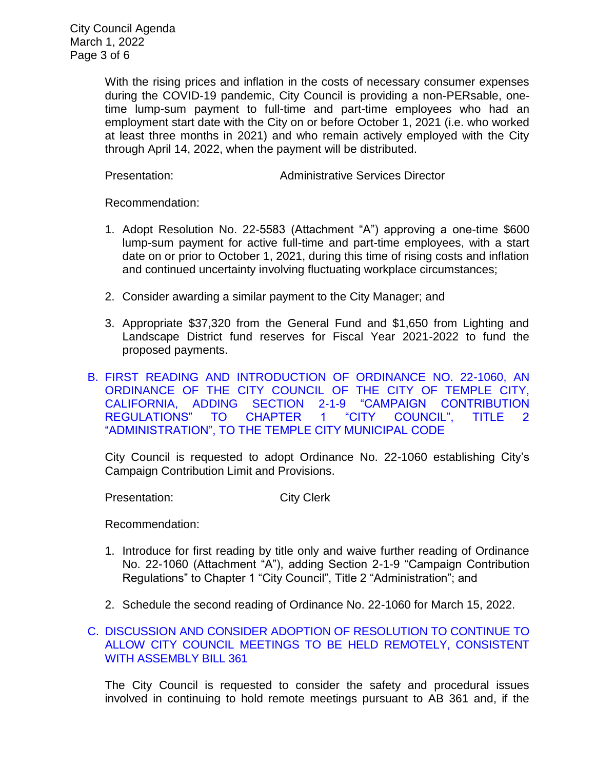City Council Agenda March 1, 2022 Page 3 of 6

> With the rising prices and inflation in the costs of necessary consumer expenses during the COVID-19 pandemic, City Council is providing a non-PERsable, onetime lump-sum payment to full-time and part-time employees who had an employment start date with the City on or before October 1, 2021 (i.e. who worked at least three months in 2021) and who remain actively employed with the City through April 14, 2022, when the payment will be distributed.

Presentation: Administrative Services Director

Recommendation:

- 1. Adopt Resolution No. 22-5583 (Attachment "A") approving a one-time \$600 lump-sum payment for active full-time and part-time employees, with a start date on or prior to October 1, 2021, during this time of rising costs and inflation and continued uncertainty involving fluctuating workplace circumstances;
- 2. Consider awarding a similar payment to the City Manager; and
- 3. Appropriate \$37,320 from the General Fund and \$1,650 from Lighting and Landscape District fund reserves for Fiscal Year 2021-2022 to fund the proposed payments.
- B. [FIRST READING AND INTRODUCTION OF ORDINANCE NO. 22-1060, AN](https://www.ci.temple-city.ca.us/DocumentCenter/View/17533/05-10B_Campaign-Contribution-Limit-Ordinance-22-1060-Staff-Report---v2)  [ORDINANCE OF THE CITY COUNCIL OF THE CITY OF TEMPLE CITY,](https://www.ci.temple-city.ca.us/DocumentCenter/View/17533/05-10B_Campaign-Contribution-Limit-Ordinance-22-1060-Staff-Report---v2)  [CALIFORNIA, ADDING SECTION 2-1-9 "CAMPAIGN CONTRIBUTION](https://www.ci.temple-city.ca.us/DocumentCenter/View/17533/05-10B_Campaign-Contribution-Limit-Ordinance-22-1060-Staff-Report---v2)  [REGULATIONS" TO CHAPTER 1 "CITY COUNCIL", TITLE 2](https://www.ci.temple-city.ca.us/DocumentCenter/View/17533/05-10B_Campaign-Contribution-Limit-Ordinance-22-1060-Staff-Report---v2)  ["ADMINISTRATION", TO THE TEMPLE CITY MUNICIPAL CODE](https://www.ci.temple-city.ca.us/DocumentCenter/View/17533/05-10B_Campaign-Contribution-Limit-Ordinance-22-1060-Staff-Report---v2)

City Council is requested to adopt Ordinance No. 22-1060 establishing City's Campaign Contribution Limit and Provisions.

Presentation: City Clerk

Recommendation:

- 1. Introduce for first reading by title only and waive further reading of Ordinance No. 22-1060 (Attachment "A"), adding Section 2-1-9 "Campaign Contribution Regulations" to Chapter 1 "City Council", Title 2 "Administration"; and
- 2. Schedule the second reading of Ordinance No. 22-1060 for March 15, 2022.
- C. [DISCUSSION AND CONSIDER ADOPTION OF RESOLUTION TO CONTINUE TO](https://www.ci.temple-city.ca.us/DocumentCenter/View/17534/06-10C_Remote-Meeting_Staff-Report)  [ALLOW CITY COUNCIL MEETINGS TO BE HELD REMOTELY, CONSISTENT](https://www.ci.temple-city.ca.us/DocumentCenter/View/17534/06-10C_Remote-Meeting_Staff-Report)  [WITH ASSEMBLY BILL 361](https://www.ci.temple-city.ca.us/DocumentCenter/View/17534/06-10C_Remote-Meeting_Staff-Report)

The City Council is requested to consider the safety and procedural issues involved in continuing to hold remote meetings pursuant to AB 361 and, if the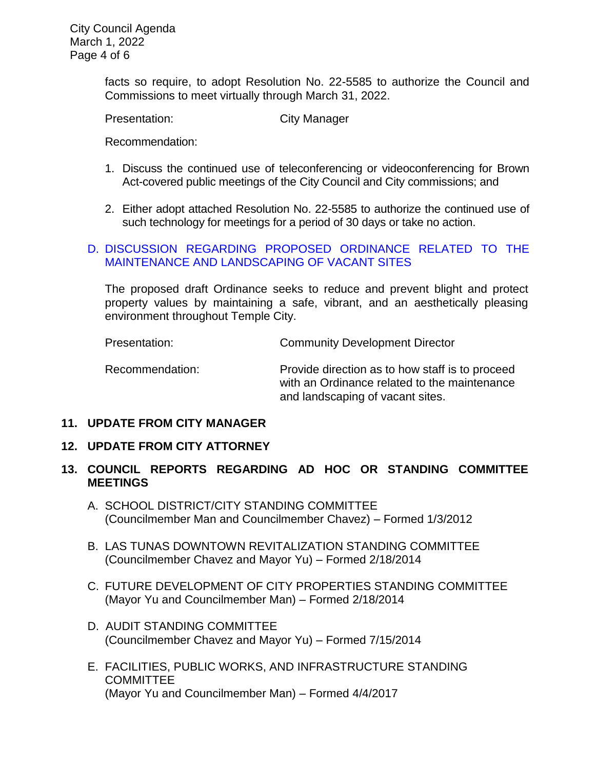facts so require, to adopt Resolution No. 22-5585 to authorize the Council and Commissions to meet virtually through March 31, 2022.

Presentation: City Manager

Recommendation:

- 1. Discuss the continued use of teleconferencing or videoconferencing for Brown Act-covered public meetings of the City Council and City commissions; and
- 2. Either adopt attached Resolution No. 22-5585 to authorize the continued use of such technology for meetings for a period of 30 days or take no action.

## D. [DISCUSSION REGARDING PROPOSED ORDINANCE RELATED TO THE](https://www.ci.temple-city.ca.us/DocumentCenter/View/17535/07-10D_Vacant-Property-Ordinance-Discussion_Staff-Report-v5)  [MAINTENANCE AND LANDSCAPING OF](https://www.ci.temple-city.ca.us/DocumentCenter/View/17535/07-10D_Vacant-Property-Ordinance-Discussion_Staff-Report-v5) VACANT SITES

The proposed draft Ordinance seeks to reduce and prevent blight and protect property values by maintaining a safe, vibrant, and an aesthetically pleasing environment throughout Temple City.

Presentation: Community Development Director

Recommendation: Provide direction as to how staff is to proceed with an Ordinance related to the maintenance and landscaping of vacant sites.

# **11. UPDATE FROM CITY MANAGER**

#### **12. UPDATE FROM CITY ATTORNEY**

# **13. COUNCIL REPORTS REGARDING AD HOC OR STANDING COMMITTEE MEETINGS**

- A. SCHOOL DISTRICT/CITY STANDING COMMITTEE (Councilmember Man and Councilmember Chavez) – Formed 1/3/2012
- B. LAS TUNAS DOWNTOWN REVITALIZATION STANDING COMMITTEE (Councilmember Chavez and Mayor Yu) – Formed 2/18/2014
- C. FUTURE DEVELOPMENT OF CITY PROPERTIES STANDING COMMITTEE (Mayor Yu and Councilmember Man) – Formed 2/18/2014
- D. AUDIT STANDING COMMITTEE (Councilmember Chavez and Mayor Yu) – Formed 7/15/2014
- E. FACILITIES, PUBLIC WORKS, AND INFRASTRUCTURE STANDING **COMMITTEE** (Mayor Yu and Councilmember Man) – Formed 4/4/2017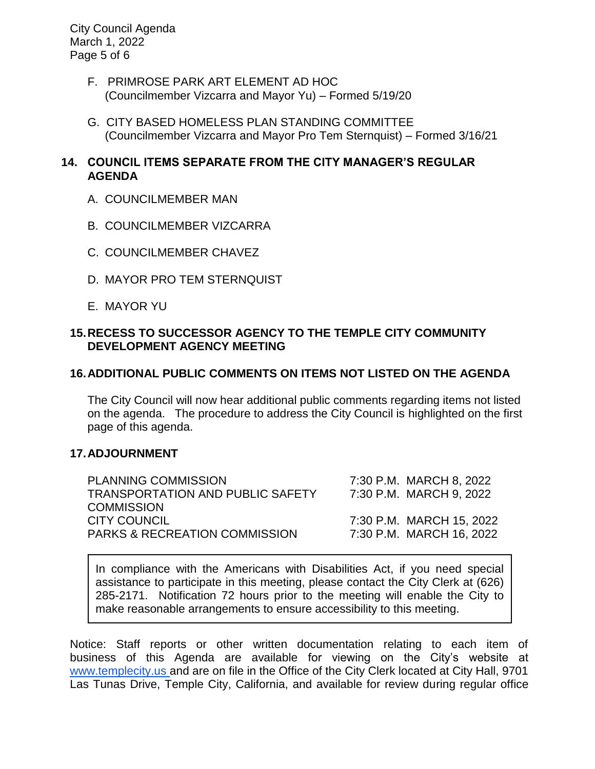City Council Agenda March 1, 2022 Page 5 of 6

- F. PRIMROSE PARK ART ELEMENT AD HOC (Councilmember Vizcarra and Mayor Yu) – Formed 5/19/20
- G. CITY BASED HOMELESS PLAN STANDING COMMITTEE (Councilmember Vizcarra and Mayor Pro Tem Sternquist) – Formed 3/16/21

# **14. COUNCIL ITEMS SEPARATE FROM THE CITY MANAGER'S REGULAR AGENDA**

- A. COUNCILMEMBER MAN
- B. COUNCILMEMBER VIZCARRA
- C. COUNCILMEMBER CHAVEZ
- D. MAYOR PRO TEM STERNQUIST
- E. MAYOR YU

# **15.RECESS TO SUCCESSOR AGENCY TO THE TEMPLE CITY COMMUNITY DEVELOPMENT AGENCY MEETING**

# **16.ADDITIONAL PUBLIC COMMENTS ON ITEMS NOT LISTED ON THE AGENDA**

The City Council will now hear additional public comments regarding items not listed on the agenda. The procedure to address the City Council is highlighted on the first page of this agenda.

#### **17.ADJOURNMENT**

| <b>PLANNING COMMISSION</b>               | 7:30 P.M. MARCH 8, 2022  |
|------------------------------------------|--------------------------|
| <b>TRANSPORTATION AND PUBLIC SAFETY</b>  | 7:30 P.M. MARCH 9, 2022  |
| <b>COMMISSION</b>                        |                          |
| <b>CITY COUNCIL</b>                      | 7:30 P.M. MARCH 15, 2022 |
| <b>PARKS &amp; RECREATION COMMISSION</b> | 7:30 P.M. MARCH 16, 2022 |

In compliance with the Americans with Disabilities Act, if you need special assistance to participate in this meeting, please contact the City Clerk at (626) 285-2171. Notification 72 hours prior to the meeting will enable the City to make reasonable arrangements to ensure accessibility to this meeting.

Notice: Staff reports or other written documentation relating to each item of business of this Agenda are available for viewing on the City's website a[t](about:blank) [www.templecity.us](about:blank) and are on file in the Office of the City Clerk located at City Hall, 9701 Las Tunas Drive, Temple City, California, and available for review during regular office